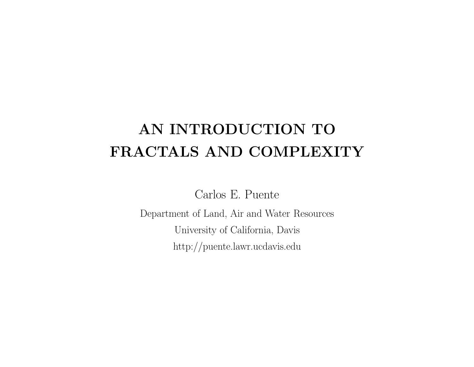## **AN INTRODUCTION TO FRACTALS AND COMPLEXITY**

Carlos E. Puente

Department of Land, Air and Water Resources University of California, Davis http://puente.lawr.ucdavis.edu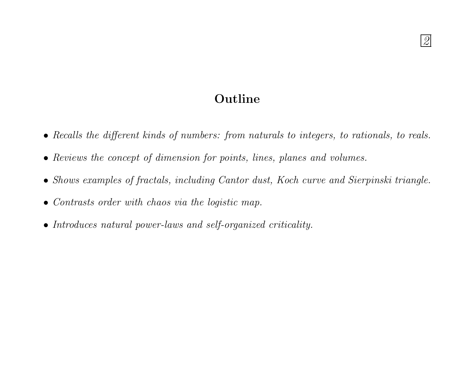## **Outline**

- Recalls the different kinds of numbers: from naturals to integers, to rationals, to reals.
- Reviews the concept of dimension for points, lines, planes and volumes.
- Shows examples of fractals, including Cantor dust, Koch curve and Sierpinski triangle.
- Contrasts order with chaos via the logistic map.
- Introduces natural power-laws and self-organized criticality.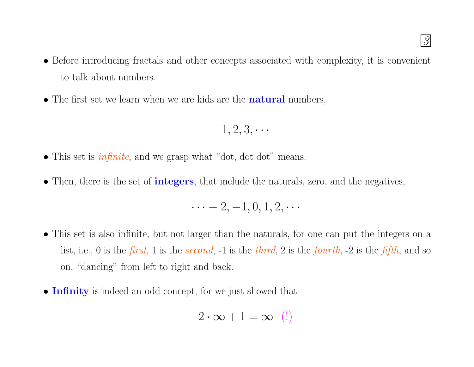- Before introducing fractals and other concepts associated with complexity, it is convenient to talk about numbers.
- The first set we learn when we are kids are the **natural** numbers,

$$
1, 2, 3, \cdots
$$

• This set is *infinite*, and we grasp what "dot, dot dot" means.

·

• Then, there is the set of **integers**, that include the naturals, zero, and the negatives,

$$
\cdots -2, -1, 0, 1, 2, \cdots
$$

- This set is also infinite, but not larger than the naturals, for one can put the integers on <sup>a</sup> list, i.e., 0 is the *first*, 1 is the *second*, -1 is the *third*, 2 is the *fourth*, -2 is the *fifth*, and so on, "dancing" from left to right and back.
- **Infinity** is indeed an odd concept, for we just showed that

$$
2 \cdot \infty + 1 = \infty \ \ (!)
$$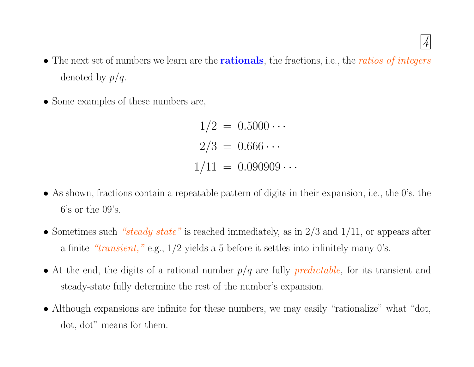4

- The next set of numbers we learn are the **rationals**, the fractions, i.e., the ratios of integers denoted by  $p/q$ .
- Some examples of these numbers are,

 $1/2 = 0.5000 \cdots$  $2/3 = 0.666 \cdots$  $1/11 = 0.090909 \cdots$ 

- As shown, fractions contain <sup>a</sup> repeatable pattern of digits in their expansion, i.e., the 0's, the 6's or the 09's.
- Sometimes such "steady state" is reached immediately, as in  $2/3$  and  $1/11$ , or appears after a finite " $transient$ ," e.g.,  $1/2$  yields a 5 before it settles into infinitely many 0's.
- At the end, the digits of a rational number  $p/q$  are fully *predictable*, for its transient and steady-state fully determine the rest of the number's expansion.
- Although expansions are infinite for these numbers, we may easily "rationalize" what "dot, dot, dot" means for them.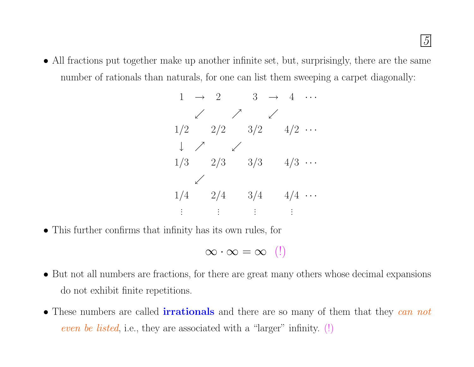• All fractions put together make up another infinite set, but, surprisingly, there are the same number of rationals than naturals, for one can list them sweeping a carpet diagonally:

|     |                                                    |            |                | $1 \rightarrow 2 \qquad 3 \rightarrow 4 \cdots$ |  |
|-----|----------------------------------------------------|------------|----------------|-------------------------------------------------|--|
|     |                                                    | $\nearrow$ |                |                                                 |  |
| 1/2 | 2/2                                                |            | 3/2            | $4/2 \cdots$                                    |  |
|     | $\downarrow$ / $\swarrow$                          |            |                |                                                 |  |
| 1/3 | 2/3                                                |            | 3/3            | $4/3 \cdots$                                    |  |
|     |                                                    |            |                |                                                 |  |
| 1/4 | 2/4                                                |            | 3/4            | $4/4 \cdots$                                    |  |
|     | $\mathbf{H}^{\text{max}}(\mathbf{H}^{\text{max}})$ |            | $\mathbb{R}^2$ |                                                 |  |

• This further confirms that infinity has its own rules, for

$$
\infty \cdot \infty = \infty \ \ (\! !)
$$

- But not all numbers are fractions, for there are grea<sup>t</sup> many others whose decimal expansions do not exhibit finite repetitions.
- These numbers are called **irrationals** and there are so many of them that they can not even be listed, i.e., they are associated with a "larger" infinity.  $(!)$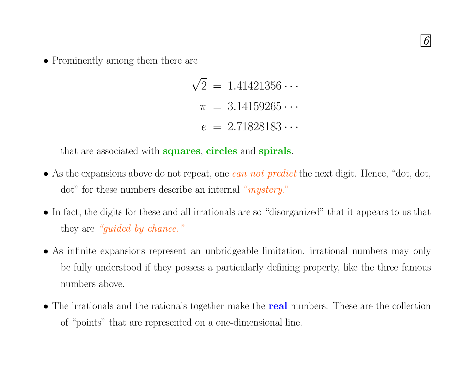

• Prominently among them there are

 $\sqrt{2}$  = 1.41421356  $\cdots$  $\pi = 3.14159265 \cdots$  $e = 2.71828183 \cdots$ 

that are associated with **squares**, **circles** and **spirals**.

- As the expansions above do not repeat, one *can not predict* the next digit. Hence, "dot, dot, dot" for these numbers describe an internal "*mystery*."
- In fact, the digits for these and all irrationals are so "disorganized" that it appears to us that they are "guided by chance."
- As infinite expansions represent an unbridgeable limitation, irrational numbers may only be fully understood if they possess <sup>a</sup> particularly defining property, like the three famous numbers above.
- The irrationals and the rationals together make the **real** numbers. These are the collection of "points" that are represented on <sup>a</sup> one-dimensional line.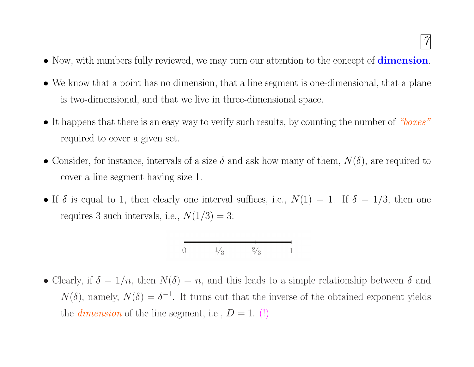- Now, with numbers fully reviewed, we may turn our attention to the concept of **dimension**.
- We know that <sup>a</sup> point has no dimension, that <sup>a</sup> line segmen<sup>t</sup> is one-dimensional, that <sup>a</sup> plane is two-dimensional, and that we live in three-dimensional space.
- It happens that there is an easy way to verify such results, by counting the number of "boxes" required to cover <sup>a</sup> given set.
- Consider, for instance, intervals of a size  $\delta$  and ask how many of them,  $N(\delta)$ , are required to cover <sup>a</sup> line segmen<sup>t</sup> having size 1.
- If  $\delta$  is equal to 1, then clearly one interval suffices, i.e.,  $N(1) = 1$ . If  $\delta = 1/3$ , then one requires 3 such intervals, i.e.,  $N(1/3) = 3$ :

$$
\begin{array}{ccc}\n0 & 1/3 & 2/3 & 1\n\end{array}
$$

• Clearly, if  $\delta = 1/n$ , then  $N(\delta) = n$ , and this leads to a simple relationship between  $\delta$  and  $N(\delta)$ , namely,  $N(\delta) = \delta^{-1}$ . It turns out that the inverse of the obtained exponent yields the *dimension* of the line segment, i.e.,  $D = 1$ . (!)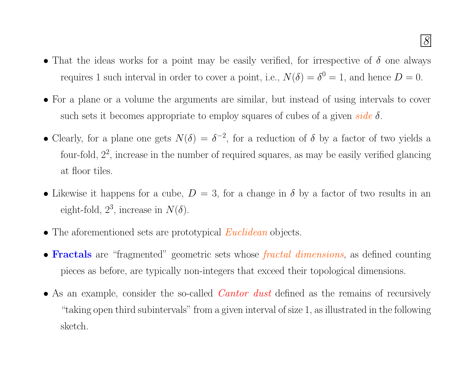- That the ideas works for a point may be easily verified, for irrespective of  $\delta$  one always requires 1 such interval in order to cover a point, i.e.,  $N(\delta) = \delta^0 = 1$ , and hence  $D = 0$ .
- For <sup>a</sup> <sup>p</sup>lane or <sup>a</sup> volume the arguments are similar, but instead of using intervals to cover such sets it becomes appropriate to employ squares of cubes of a given side  $\delta$ .
- Clearly, for a plane one gets  $N(\delta) = \delta^{-2}$ , for a reduction of  $\delta$  by a factor of two yields a four-fold,  $2^2$ , increase in the number of required squares, as may be easily verified glancing at floor tiles.
- Likewise it happens for a cube,  $D = 3$ , for a change in  $\delta$  by a factor of two results in an eight-fold,  $2^3$ , increase in  $N(\delta)$ .
- The aforementioned sets are prototypical *Euclidean* objects.
- **Fractals** are "fragmented" geometric sets whose fractal dimensions, as defined counting <sup>p</sup>ieces as before, are typically non-integers that exceed their topological dimensions.
- As an example, consider the so-called *Cantor dust* defined as the remains of recursively "taking open third subintervals" from <sup>a</sup> given interval of size 1, as illustrated in the following sketch.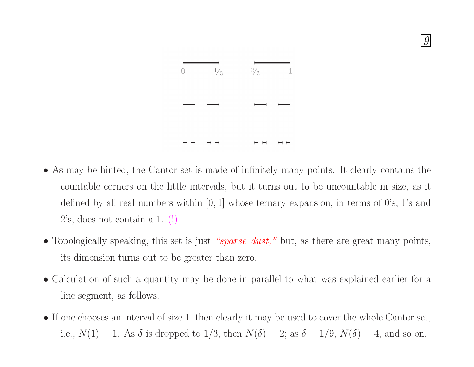

9

- As may be hinted, the Cantor set is made of infinitely many points. It clearly contains the countable corners on the little intervals, but it turns out to be uncountable in size, as it defined by all real numbers within  $[0, 1]$  whose ternary expansion, in terms of  $0$ 's,  $1$ 's and 2's, does not contain <sup>a</sup> 1. (!)
- Topologically speaking, this set is just "sparse dust," but, as there are great many points, its dimension turns out to be greater than zero.
- Calculation of such <sup>a</sup> quantity may be done in parallel to what was explained earlier for <sup>a</sup> line segment, as follows.
- If one chooses an interval of size 1, then clearly it may be used to cover the whole Cantor set, i.e.,  $N(1) = 1$ . As  $\delta$  is dropped to  $1/3$ , then  $N(\delta) = 2$ ; as  $\delta = 1/9$ ,  $N(\delta) = 4$ , and so on.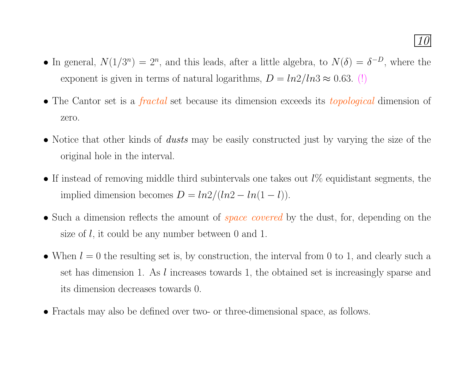- In general,  $N(1/3^n) = 2^n$ , and this leads, after a little algebra, to  $N(\delta) = \delta^{-D}$ , where the exponent is given in terms of natural logarithms,  $D = ln2/ln3 \approx 0.63$ . (!)
- The Cantor set is a *fractal* set because its dimension exceeds its *topological* dimension of zero.
- Notice that other kinds of *dusts* may be easily constructed just by varying the size of the original hole in the interval.
- If instead of removing middle third subintervals one takes out  $l\%$  equidistant segments, the implied dimension becomes  $D = ln2/(ln2 - ln(1 - l)).$
- Such a dimension reflects the amount of *space covered* by the dust, for, depending on the size of l, it could be any number between 0 and 1.
- When  $l = 0$  the resulting set is, by construction, the interval from 0 to 1, and clearly such a set has dimension 1. As l increases towards 1, the obtained set is increasingly sparse and its dimension decreases towards 0.
- Fractals may also be defined over two- or three-dimensional space, as follows.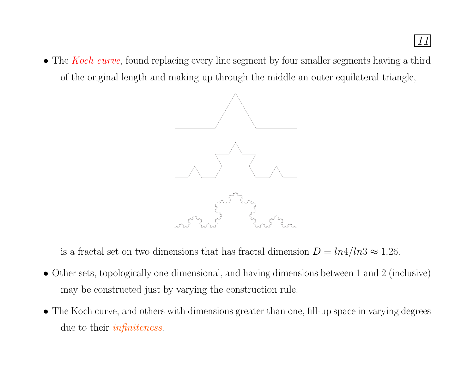

• The *Koch curve*, found replacing every line segment by four smaller segments having a third of the original length and making up through the middle an outer equilateral triangle,



is a fractal set on two dimensions that has fractal dimension  $D = ln4/ln3 \approx 1.26$ .

- Other sets, topologically one-dimensional, and having dimensions between <sup>1</sup> and <sup>2</sup> (inclusive) may be constructed just by varying the construction rule.
- The Koch curve, and others with dimensions greater than one, fill-up space in varying degrees due to their *infiniteness*.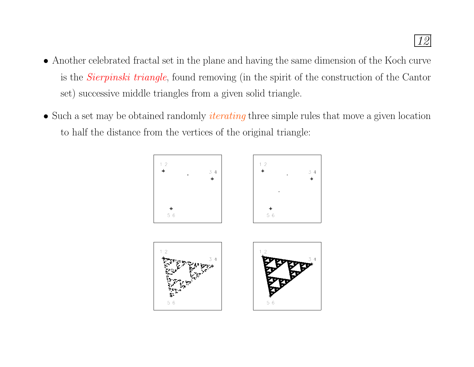- Another celebrated fractal set in the <sup>p</sup>lane and having the same dimension of the Koch curve is the Sierpinski triangle, found removing (in the spirit of the construction of the Cantor set) successive middle triangles from <sup>a</sup> <sup>g</sup>iven solid triangle.
- Such a set may be obtained randomly *iterating* three simple rules that move a given location to half the distance from the vertices of the original triangle:



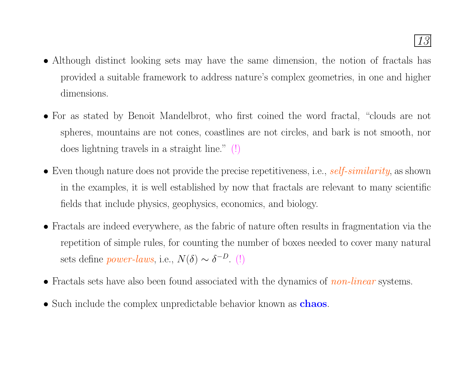- Although distinct looking sets may have the same dimension, the notion of fractals has provided <sup>a</sup> suitable framework to address nature's complex geometries, in one and higher dimensions.
- For as stated by Benoit Mandelbrot, who first coined the word fractal, "clouds are not spheres, mountains are not cones, coastlines are not circles, and bark is not smooth, nor does lightning travels in <sup>a</sup> straight line." (!)
- Even though nature does not provide the precise repetitiveness, i.e., self-similarity, as shown in the examples, it is well established by now that fractals are relevant to many scientific fields that include <sup>p</sup>hysics, geophysics, economics, and biology.
- Fractals are indeed everywhere, as the fabric of nature often results in fragmentation via the repetition of simple rules, for counting the number of boxes needed to cover many natural sets define *power-laws*, i.e.,  $N(\delta) \sim \delta^{-D}$ . (!)
- Fractals sets have also been found associated with the dynamics of *non-linear* systems.
- Such include the complex unpredictable behavior known as **chaos**.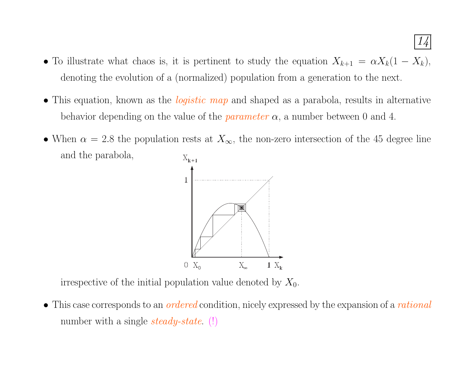- To illustrate what chaos is, it is pertinent to study the equation  $X_{k+1} = \alpha X_k(1 X_k)$ , denoting the evolution of <sup>a</sup> (normalized) population from <sup>a</sup> generation to the next.
- This equation, known as the *logistic map* and shaped as a parabola, results in alternative behavior depending on the value of the *parameter*  $\alpha$ , a number between 0 and 4.
- When  $\alpha = 2.8$  the population rests at  $X_{\infty}$ , the non-zero intersection of the 45 degree line and the parabola,  $X_{k+1}$



irrespective of the initial population value denoted by  $X_0$ .

• This case corresponds to an *ordered* condition, nicely expressed by the expansion of a *rational* number with a single  $steady-state$ . (!)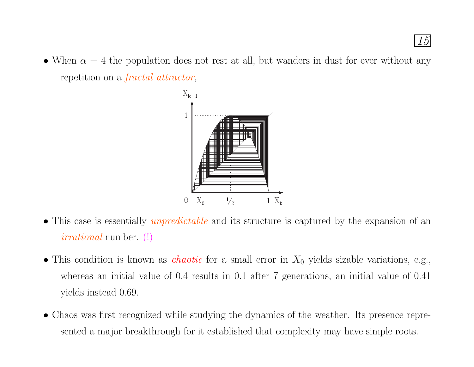• When  $\alpha = 4$  the population does not rest at all, but wanders in dust for ever without any repetition on <sup>a</sup> fractal attractor,



- This case is essentially *unpredictable* and its structure is captured by the expansion of an irrational number. (!)
- This condition is known as *chaotic* for a small error in  $X_0$  yields sizable variations, e.g., whereas an initial value of 0.4 results in 0.1 after 7 generations, an initial value of 0.41 yields instead 0.69.
- Chaos was first recognized while studying the dynamics of the weather. Its presence represented <sup>a</sup> major breakthrough for it established that complexity may have simple roots.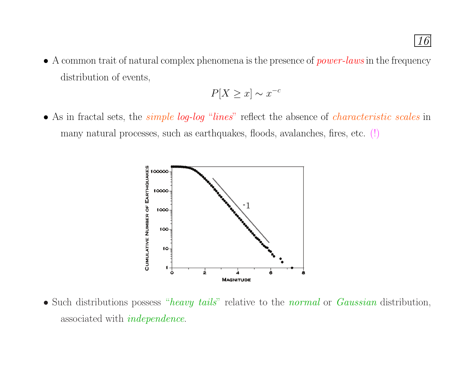• A common trait of natural complex phenomena is the presence of  $power$ -laws in the frequency distribution of events,

$$
P[X \ge x] \sim x^{-c}
$$

• As in fractal sets, the *simple log-log* "*lines*" reflect the absence of *characteristic scales* in many natural processes, such as earthquakes, floods, avalanches, fires, etc. (!)



• Such distributions possess "heavy tails" relative to the normal or Gaussian distribution, associated with independence.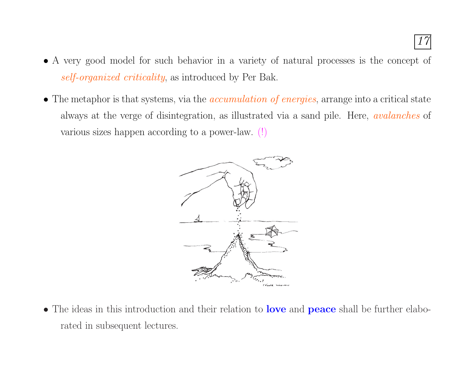- A very good model for such behavior in <sup>a</sup> variety of natural processes is the concept of self-organized criticality, as introduced by Per Bak.
- The metaphor is that systems, via the *accumulation of energies*, arrange into a critical state always at the verge of disintegration, as illustrated via <sup>a</sup> sand <sup>p</sup>ile. Here, avalanches of various sizes happen according to <sup>a</sup> power-law. (!)



• The ideas in this introduction and their relation to **love** and **peace** shall be further elaborated in subsequent lectures.